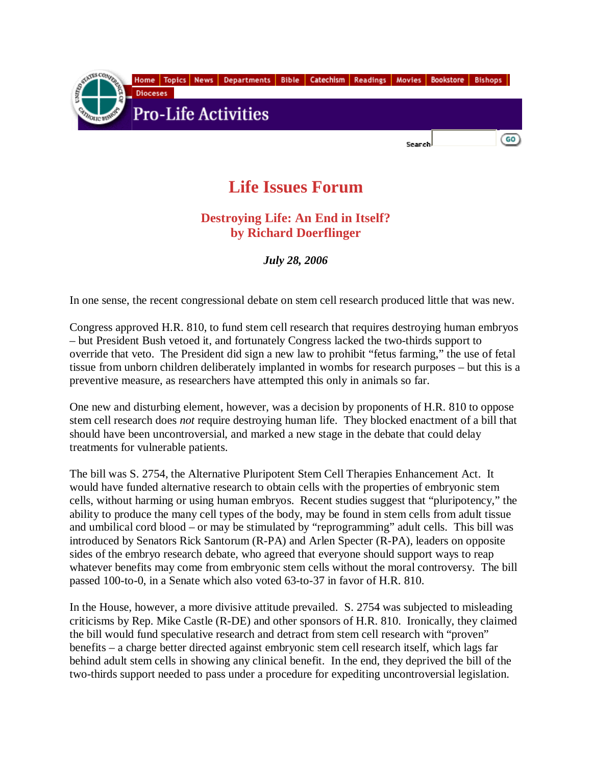

## **Life Issues Forum**

## **Destroying Life: An End in Itself? by Richard Doerflinger**

*July 28, 2006* 

In one sense, the recent congressional debate on stem cell research produced little that was new.

Congress approved H.R. 810, to fund stem cell research that requires destroying human embryos – but President Bush vetoed it, and fortunately Congress lacked the two-thirds support to override that veto. The President did sign a new law to prohibit "fetus farming," the use of fetal tissue from unborn children deliberately implanted in wombs for research purposes – but this is a preventive measure, as researchers have attempted this only in animals so far.

One new and disturbing element, however, was a decision by proponents of H.R. 810 to oppose stem cell research does *not* require destroying human life. They blocked enactment of a bill that should have been uncontroversial, and marked a new stage in the debate that could delay treatments for vulnerable patients.

The bill was S. 2754, the Alternative Pluripotent Stem Cell Therapies Enhancement Act. It would have funded alternative research to obtain cells with the properties of embryonic stem cells, without harming or using human embryos. Recent studies suggest that "pluripotency," the ability to produce the many cell types of the body, may be found in stem cells from adult tissue and umbilical cord blood – or may be stimulated by "reprogramming" adult cells. This bill was introduced by Senators Rick Santorum (R-PA) and Arlen Specter (R-PA), leaders on opposite sides of the embryo research debate, who agreed that everyone should support ways to reap whatever benefits may come from embryonic stem cells without the moral controversy. The bill passed 100-to-0, in a Senate which also voted 63-to-37 in favor of H.R. 810.

In the House, however, a more divisive attitude prevailed. S. 2754 was subjected to misleading criticisms by Rep. Mike Castle (R-DE) and other sponsors of H.R. 810. Ironically, they claimed the bill would fund speculative research and detract from stem cell research with "proven" benefits – a charge better directed against embryonic stem cell research itself, which lags far behind adult stem cells in showing any clinical benefit. In the end, they deprived the bill of the two-thirds support needed to pass under a procedure for expediting uncontroversial legislation.